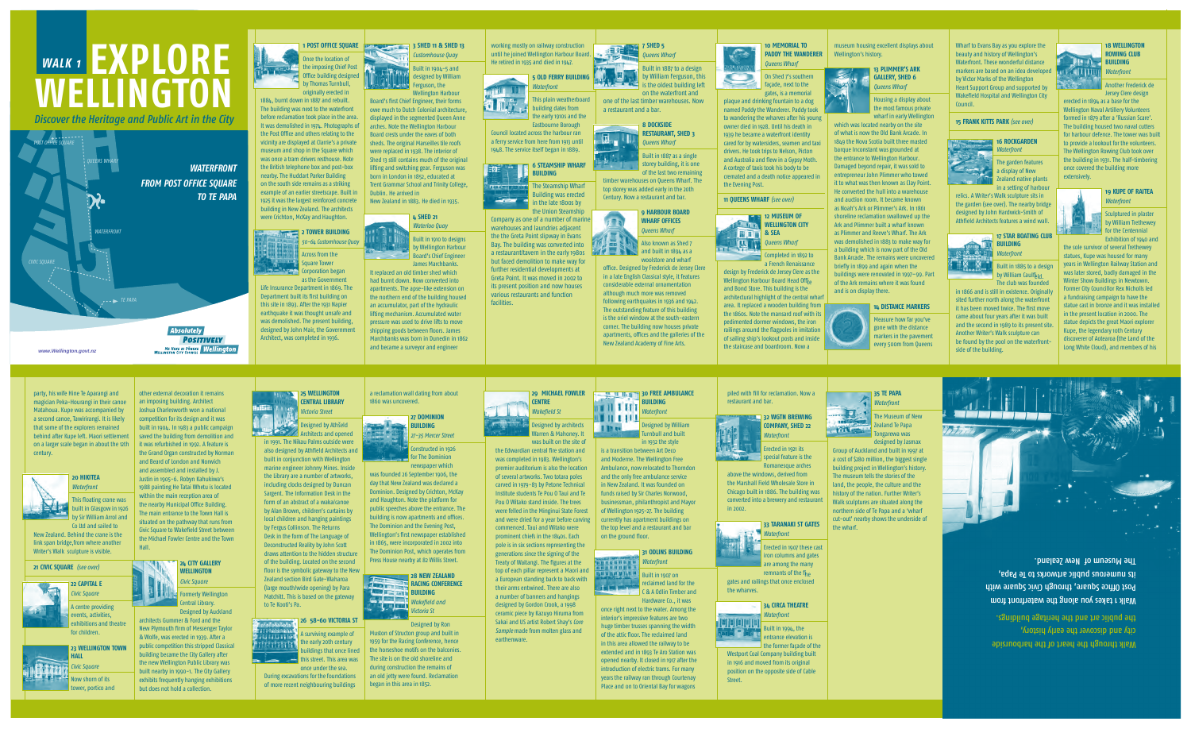Once the location of the imposing Chief Post

**PERIOFFice building designed by Thomas Turnbull,** originally erected in 1884, burnt down in 1887 and rebuilt. The building was next to the waterfront before reclamation took place in the area. It was demolished in 1974. Photographs of

the Post Office and others relating to the vicinity are displayed at Clarrie's a private museum and shop in the Square which was once a tram drivers resthouse. Note the British telephone box and post-box nearby. The Huddart Parker Building on the south side remains as a striking example of an earlier streetscape. Built in 1925 it was the largest reinforced concrete building in New Zealand. The architects were Crichton, McKay and Haughton.

## **1 POST OFFICE SQUARE 3 SHED 11 & SHED 13**  *Customhouse Quay*

#### **2 TOWER BUILDING**  *50-64 Customhouse Quay*

Across from the Square Tower Corporation began as the Government

Life Insurance Department in 1869. The Department built its first building on this site in 1893. After the 1931 Napier earthquake it was thought unsafe and was demolished. The present building, designed by John Mair, the Government Architect, was completed in 1936.

Built in 1904-5 and KAN designed by William Ferguson, the

Wellington Harbour Board's first Chief Engineer, their forms owe much to Dutch Colonial architecture, displayed in the segmented Queen Anne arches. Note the Wellington Harbour Board crests under the eaves of both sheds. The original Marseilles tile roofs were replaced in 1938. The interior of Shed 13 still contains much of the original lifting and switching gear. Ferguson was born in London in 1852, educated at Trent Grammar School and Trinity College, Dublin. He arrived in New Zealand in 1883. He died in 1935.



Built in 1887 to a design by William Ferguson, this is the oldest building left

#### **4 SHED 21**  *Waterloo Quay*  Built in 1910 to designs by Wellington Harbour

Board's Chief Engineer James Marchbanks. It replaced an old timber shed which had burnt down. Now converted into apartments. The apse-like extension on the northern end of the building housed an accumulator, part of the hydraulic lifting mechanism. Accumulated water pressure was used to drive lifts to move shipping goods between floors. James Marchbanks was born in Dunedin in 1862 and became a surveyor and engineer







Council located across the harbour ran a ferry service from here from 1913 until 1948. The service itself began in 1889.

> Wellington Harbour Board Head Offi<sub>e</sub> and Bond Store. This building is the architectural highlight of the central wharf area. It replaced a wooden building from the 1860s. Note the mansard roof with its pedimented dormer windows, the iron railings around the flagpoles in imitation of sailing ship's lookout posts and inside the staircase and boardroom. Now a

museum housing excellent displays about Wellington's history.





lousing a display about the most famous private wharf in early Wellington

in the late 1800s by

the Union Steamship Company as one of a number of marine warehouses and laundries adjacent the the Greta Point slipway in Evans Bay. The building was converted into a restaurant/tavern in the early 1980s but faced demolition to make way for further residential developments at Greta Point. It was moved in 2002 to its present position and now houses

which was located nearby on the site of what is now the Old Bank Arcade. In 1849 the Nova Scotia built three masted barque Inconstant was grounded at the entrance to Wellington Harbour. Damaged beyond repair, it was sold to entrepreneur John Plimmer who towed it to what was then known as Clay Point. He converted the hull into a warehouse and auction room. It became known as Noah's Ark or Plimmer's Ark. In 1861 shoreline reclamation swallowed up the Ark and Plimmer built a wharf known as Plimmer and Reeve's Wharf. The Ark was demolished in 1883 to make way for a building which is now part of the Old Bank Arcade. The remains were uncovered briefly in 1899 and again when the buildings were renovated in 1997–99. Part of the Ark remains where it was found and is on display there.

various restaurants and function

facilities.

ਲਾਂਸੀ

**7 SHED 5**  *Queens Wharf* 

on the waterfront and one of the last timber warehouses. Now a restaurant and a bar. **8 DOCKSIDE RESTAURANT, SHED 3**  *Queens Wharf* 



Built in 1885 to a design by William Caulf<sub>eld.</sub>

timber warehouses on Queens Wharf. The top storey was added early in the 20th Century. Now a restaurant and bar.



Also known as Shed 7  $\Box$  and built in 1894 as a woolstore and wharf

Sculptured in plaster by William Trethewey  $\blacksquare$  for the Centennial

office. Designed by Frederick de Jersey Clere in a late English Classical style, it features considerable external ornamentation although much more was removed following earthquakes in 1936 and 1942. The outstanding feature of this building is the oriel window at the south-eastern corner. The building now houses private apartments, offices and the galleries of the New Zealand Academy of Fine Arts.

**30 FREE AMBULANCE BUILDING** *Waterfront* 

 $\blacksquare$   $\blacksquare$   $\blacksquare$   $\blacksquare$   $\blacksquare$   $\blacksquare$ 

<u>ET IL I I I I</u> **They** 

#### **10 MEMORIAL TO PADDY THE WANDERER** *Queens Wharf*

On Shed 7's southern façade, next to the gates, is a memorial

plaque and drinking fountain to a dog named Paddy the Wanderer. Paddy took to wandering the wharves after his young owner died in 1928. Until his death in 1939 he became a waterfront identity cared for by watersiders, seamen and taxi drivers. He took trips to Nelson, Picton and Australia and flew in a Gypsy Moth. A cortege of taxis took his body to be cremated and a death notice appeared in the Evening Post.

**11 QUEENS WHARF** *(see over)* 



Completed in 1892 to a French Renaissance design by Frederick de Jersey Clere as the

Designed by Athšeld **Architects and opened** 

**13 PLIMMER'S ARK GALLERY, SHED 6**  *Queens Wharf* 

**28 NEW ZEALAND RACING CONFERENCE BUILDING CALL THE TIME**  *Wakefi eld and Victoria St* 

#### **14 DISTANCE MARKERS**



Measure how far you've gone with the distance markers in the pavement every 500m from Queens Wharf to Evans Bay as you explore the beauty and history of Wellington's Waterfront. These wonderful distance markers are based on an idea developed by Victor Marks of the Wellington Heart Support Group and supported by Wakefield Hospital and Wellington City Council.

#### **15 FRANK KITTS PARK** *(see over)*

#### **16 ROCKGARDEN**  *Waterfront*



The garden features a display of New Zealand native plants in a setting of harbour

Designed by William Turnbull and built in 1932 the style

relics. A Writer's Walk sculpture sits in the garden (see over). The nearby bridge designed by John Hardwick-Smith of Athfield Architects features a wind wall.

*Waterfront*  <u>i y ko y ilit ti .</u> Built in 1907 on reclaimed land for the C & A Odlin Timber and Hardware Co., it was

# **17 STAR BOATING CLUB**

## **BUILDING**  *Waterfront*

The club was founded



in 1866 and is still in existence. Originally sited further north along the waterfront it has been moved twice. The first move came about four years after it was built and the second in 1989 to its present site. Another Writer's Walk sculpture can be found by the pool on the waterfrontside of the building.

Erected in 1907 these cast iron columns and gates are among the many remnants of the  $f_{\text{ho}}$ 

**18 WELLINGTON ROWING CLUB** *Waterfront* 



Another Frederick de Jersey Clere design

Built in 1994, the entrance elevation is the former façade of the

Tongarewa was designed by Jasmax

Walk 1 takes you along the watertront from <sup>2</sup>ost Othce Square, through Civic Square with its numerous public ar tworks to Te Papa, The Museum of New Zealand.

erected in 1894 as a base for the Wellington Naval Artillery Volunteers formed in 1879 after a 'Russian Scare'. The building housed two naval cutters for harbour defence. The tower was built to provide a lookout for the volunteers. The Wellington Rowing Club took over the building in 1931. The half-timbering once covered the building more extensively.



**19 KUPE OF RAITEA**  *Waterfront* 

Walk through the heart of the harbourside city and discover the early history, the public ar t and the heritage buildings.

Exhibition of 1940 and the sole survivor of several Trethewey statues, Kupe was housed for many years in Wellington Railway Station and was later stored, badly damaged in the Winter Show Buildings in Newtown. Former City Councillor Rex Nicholls led a fundraising campaign to have the statue cast in bronze and it was installed in the present location in 2000. The statue depicts the great Maori explorer Kupe, the legendary 10th Century discoverer of Aotearoa (the Land of the Long White Cloud), and members of his

party, his wife Hine Te Aparangi and

century.

**20 HIKITEA**  *Waterfront* 

link span bridge,from where another Writer's Walk sculpture is visible.

**21 CIVIC SQUARE** *(see over)* 

**22 CAPITAL E**  *Civic Square*  A centre providing events, activities, exhibitions and theatre

magician Peka-Hourangi in their canoe Matahoua. Kupe was accompanied by a second canoe, Tawirirangi. It is likely that some of the explorers remained behind after Kupe left. Maori settlement on a larger scale began in about the 12th This floating crane was built in Glasgow in 1926 by Sir William Arrol and Co Ltd and sailed to New Zealand. Behind the crane is the an imposing building. Architect Joshua Charlesworth won a national competition for its design and it was built in 1904. In 1983 a public campaign saved the building from demolition and it was refurbished in 1992. A feature is the Grand Organ constructed by Norman and Beard of London and Norwich and assembled and installed by J. Justin in 1905-6. Robyn Kahukiwa's within the main reception area of

for children.

**23 WELLINGTON TOWN** 







 $\sim$ 

**HALL** *Civic Square*  Now shorn of its tower, portico and other external decoration it remains

1988 painting He Tatai Whetu is located the nearby Municipal Office Building. The main entrance to the Town Hall is situated on the pathway that runs from Civic Square to Wakefield Street between



**Formerly Wellington** 



Hall.

**24 CITY GALLERY WELLINGTON**  *Civic Square* 

Central Library. Designed by Auckland

architects Gummer & Ford and the New Plymouth firm of Messenger Taylor & Wolfe, was erected in 1939. After a public competition this stripped Classical building became the City Gallery after the new Wellington Public Library was built nearby in 1990-1. The City Gallery exhibits frequently hanging exhibitions but does not hold a collection.



in 1991. The Nikau Palms outside were also designed by Athfield Architects and built in conjunction with Wellington marine engineer Johnny Mines. Inside the Library are a number of artworks, including clocks designed by Duncan Sargent. The Information Desk in the form of an abstract of a waka/canoe by Alan Brown, children's curtains by local children and hanging paintings by Fergus Collinson. The Returns Desk in the form of The Language of Deconstructed Reality by John Scott draws attention to the hidden structure of the building. Located on the second floor is the symbolic gateway to the New Zealand section Bird Gate-Waharoa (large mouth/wide opening) by Para Matchitt. This is based on the gateway to Te Kooti's Pa.

### **26 58-60 VICTORIA ST**

A surviving example of 311111 the early 20th century t tifiti buildings that once lined

this street. This area was once under the sea. During excavations for the foundations

of more recent neighbouring buildings

a reclamation wall dating from about 1860 was uncovered.



Constructed in 1926 or The Dominion newspaper which

was founded 26 September 1906, the day that New Zealand was declared a Dominion. Designed by Crichton, McKay and Haughton. Note the platform for public speeches above the entrance. The building is now apartments and offices. The Dominion and the Evening Post, Wellington's first newspaper established in 1865, were incorporated in 2002 into The Dominion Post, which operates from Press House nearby at 82 Willis Street.

Designed by Ron Muston of Structon group and built in 1959 for the Racing Conference, hence the horseshoe motifs on the balconies. The site is on the old shoreline and during construction the remains of an old jetty were found. Reclamation began in this area in 1852.



# Designed by architects Warren & Mahoney. It was built on the site of the Edwardian central fire station and was completed in 1983. Wellington's

premier auditorium is also the location of several artworks. Two totara poles

carved in 1979-83 by Petone Technical Institute students Te Pou O Taui and Te Pou O Witako stand inside. The trees were felled in the Minginui State Forest and were dried for a year before carving commenced. Taui and Witako were prominent chiefs in the 1840s. Each pole is in six sections representing the generations since the signing of the Treaty of Waitangi. The figures at the top of each pillar represent a Maori and a European standing back to back with their arms entwined. There are also a number of banners and hangings designed by Gordon Crook, a 1998 ceramic piece by Kazuyo Hiruma from Sakai and US artist Robert Shay's *Core Sample* made from molten glass and earthenware.







the top level and a restaurant and bar on the ground floor. **31 ODLINS BUILDING** 

once right next to the water. Among the interior's impressive features are two huge timber trusses spanning the width of the attic floor. The reclaimed land in this area allowed the railway to be extended and in 1893 Te Aro Station was opened nearby. It closed in 1917 after the introduction of electric trams. For many years the railway ran through Courtenay Place and on to Oriental Bay for wagons

piled with fill for reclamation. Now a

restaurant and bar.





Erected in 1921 its special feature is the Romanesque arches

above the windows, derived from the Marshall Field Wholesale Store in Chicago built in 1886. The building was converted into a brewery and restaurant

in 2002.



gates and railings that once enclosed



the wharves.





Westport Coal Company building built in 1916 and moved from its original position on the opposite side of Cable



Street.



The Museum of New Zealand Te Papa

Group of Auckland and built in 1997 at a cost of \$280 million, the biggest single building project in Wellington's history. The museum tells the stories of the land, the people, the culture and the history of the nation. Further Writer's Walk sculptures are situated along the northern side of Te Papa and a 'wharf cut-out' nearby shows the underside of the wharf.

# **EXPLORE WELLINGTO** *WALK 1*

*Discover the Heritage and Public Art in the City* 

*www.feelinggreat.co.nz*  **www.Wellington.govt.nz**